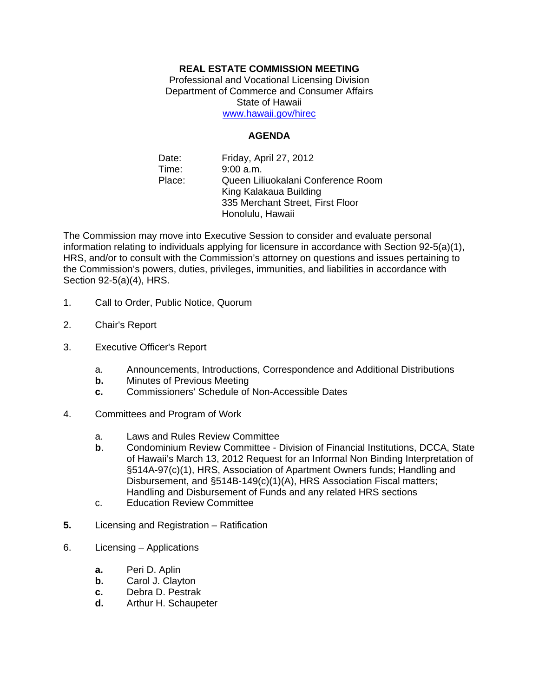## **REAL ESTATE COMMISSION MEETING**

Professional and Vocational Licensing Division Department of Commerce and Consumer Affairs State of Hawaii www.hawaii.gov/hirec

## **AGENDA**

Date: Friday, April 27, 2012 Time: 9:00 a.m. Place: Queen Liliuokalani Conference Room King Kalakaua Building 335 Merchant Street, First Floor Honolulu, Hawaii

The Commission may move into Executive Session to consider and evaluate personal information relating to individuals applying for licensure in accordance with Section 92-5(a)(1), HRS, and/or to consult with the Commission's attorney on questions and issues pertaining to the Commission's powers, duties, privileges, immunities, and liabilities in accordance with Section 92-5(a)(4), HRS.

- 1. Call to Order, Public Notice, Quorum
- 2. Chair's Report
- 3. Executive Officer's Report
	- a. Announcements, Introductions, Correspondence and Additional Distributions
	- **b.** Minutes of Previous Meeting
	- **c.** Commissioners' Schedule of Non-Accessible Dates
- 4. Committees and Program of Work
	- a. Laws and Rules Review Committee
	- **b**. Condominium Review Committee Division of Financial Institutions, DCCA, State of Hawaii's March 13, 2012 Request for an Informal Non Binding Interpretation of §514A-97(c)(1), HRS, Association of Apartment Owners funds; Handling and Disbursement, and §514B-149(c)(1)(A), HRS Association Fiscal matters; Handling and Disbursement of Funds and any related HRS sections
	- c. Education Review Committee
- **5.** Licensing and Registration Ratification
- 6. Licensing Applications
	- **a.** Peri D. Aplin
	- **b.** Carol J. Clayton
	- **c.** Debra D. Pestrak
	- **d.** Arthur H. Schaupeter